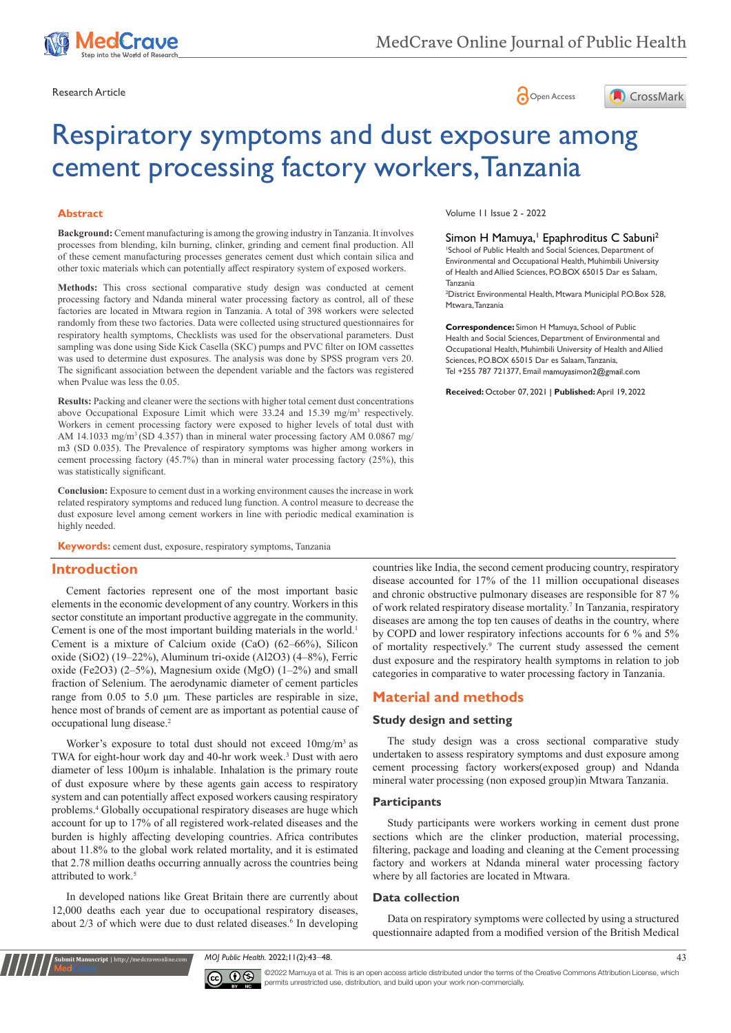

Research Article **Contracts** Contracts and Contracts Contracts Contracts Contracts Contracts Contracts Contracts Contracts Contracts Contracts Contracts Contracts Contracts Contracts Contracts Contracts Contracts Contracts





# Respiratory symptoms and dust exposure among cement processing factory workers, Tanzania

#### **Abstract**

**Background:** Cement manufacturing is among the growing industry in Tanzania. It involves processes from blending, kiln burning, clinker, grinding and cement final production. All of these cement manufacturing processes generates cement dust which contain silica and other toxic materials which can potentially affect respiratory system of exposed workers.

**Methods:** This cross sectional comparative study design was conducted at cement processing factory and Ndanda mineral water processing factory as control, all of these factories are located in Mtwara region in Tanzania. A total of 398 workers were selected randomly from these two factories. Data were collected using structured questionnaires for respiratory health symptoms, Checklists was used for the observational parameters. Dust sampling was done using Side Kick Casella (SKC) pumps and PVC filter on IOM cassettes was used to determine dust exposures. The analysis was done by SPSS program vers 20. The significant association between the dependent variable and the factors was registered when Pvalue was less the 0.05.

**Results:** Packing and cleaner were the sections with higher total cement dust concentrations above Occupational Exposure Limit which were 33.24 and 15.39 mg/m<sup>3</sup> respectively. Workers in cement processing factory were exposed to higher levels of total dust with AM 14.1033 mg/m<sup>3</sup> (SD 4.357) than in mineral water processing factory AM 0.0867 mg/ m3 (SD 0.035). The Prevalence of respiratory symptoms was higher among workers in cement processing factory (45.7%) than in mineral water processing factory (25%), this was statistically significant.

**Conclusion:** Exposure to cement dust in a working environment causes the increase in work related respiratory symptoms and reduced lung function. A control measure to decrease the dust exposure level among cement workers in line with periodic medical examination is highly needed.

**Keywords:** cement dust, exposure, respiratory symptoms, Tanzania

## **Introduction**

Cement factories represent one of the most important basic elements in the economic development of any country. Workers in this sector constitute an important productive aggregate in the community. Cement is one of the most important building materials in the world.<sup>1</sup> Cement is a mixture of Calcium oxide (CaO) (62–66%), Silicon oxide (SiO2) (19–22%), Aluminum tri-oxide (Al2O3) (4–8%), Ferric oxide (Fe2O3) (2–5%), Magnesium oxide (MgO) (1–2%) and small fraction of Selenium. The aerodynamic diameter of cement particles range from 0.05 to 5.0 μm. These particles are respirable in size, hence most of brands of cement are as important as potential cause of occupational lung disease.2

Worker's exposure to total dust should not exceed 10mg/m3 as TWA for eight-hour work day and 40-hr work week.<sup>3</sup> Dust with aero diameter of less 100µm is inhalable. Inhalation is the primary route of dust exposure where by these agents gain access to respiratory system and can potentially affect exposed workers causing respiratory problems.4 Globally occupational respiratory diseases are huge which account for up to 17% of all registered work-related diseases and the burden is highly affecting developing countries. Africa contributes about 11.8% to the global work related mortality, and it is estimated that 2.78 million deaths occurring annually across the countries being attributed to work.<sup>5</sup>

In developed nations like Great Britain there are currently about 12,000 deaths each year due to occupational respiratory diseases, about 2/3 of which were due to dust related diseases.<sup>6</sup> In developing

**Submit Manuscript** | http://medcraveonline.com

Volume 11 Issue 2 - 2022

Simon H Mamuya,<sup>1</sup> Epaphroditus C Sabuni<sup>2</sup> 1 School of Public Health and Social Sciences, Department of Environmental and Occupational Health, Muhimbili University of Health and Allied Sciences, P.O.BOX 65015 Dar es Salaam, Tanzania

2 District Environmental Health, Mtwara Municiplal P.O.Box 528, Mtwara, Tanzania

**Correspondence:** Simon H Mamuya, School of Public Health and Social Sciences, Department of Environmental and Occupational Health, Muhimbili University of Health and Allied Sciences, P.O.BOX 65015 Dar es Salaam, Tanzania, Tel +255 787 721377, Email mamuyasimon2@gmail.com

**Received:** October 07, 2021 | **Published:** April 19, 2022

countries like India, the second cement producing country, respiratory disease accounted for 17% of the 11 million occupational diseases and chronic obstructive pulmonary diseases are responsible for 87 % of work related respiratory disease mortality.<sup>7</sup> In Tanzania, respiratory diseases are among the top ten causes of deaths in the country, where by COPD and lower respiratory infections accounts for 6 % and 5% of mortality respectively.9 The current study assessed the cement dust exposure and the respiratory health symptoms in relation to job categories in comparative to water processing factory in Tanzania.

## **Material and methods**

#### **Study design and setting**

The study design was a cross sectional comparative study undertaken to assess respiratory symptoms and dust exposure among cement processing factory workers(exposed group) and Ndanda mineral water processing (non exposed group)in Mtwara Tanzania.

#### **Participants**

Study participants were workers working in cement dust prone sections which are the clinker production, material processing, filtering, package and loading and cleaning at the Cement processing factory and workers at Ndanda mineral water processing factory where by all factories are located in Mtwara.

#### **Data collection**

Data on respiratory symptoms were collected by using a structured questionnaire adapted from a modified version of the British Medical

*MOJ Public Health.* 2022;11(2):43‒48. 43



©2022 Mamuya et al. This is an open access article distributed under the terms of the [Creative Commons Attribution License,](https://creativecommons.org/licenses/by-nc/4.0/) which permits unrestricted use, distribution, and build upon your work non-commercially.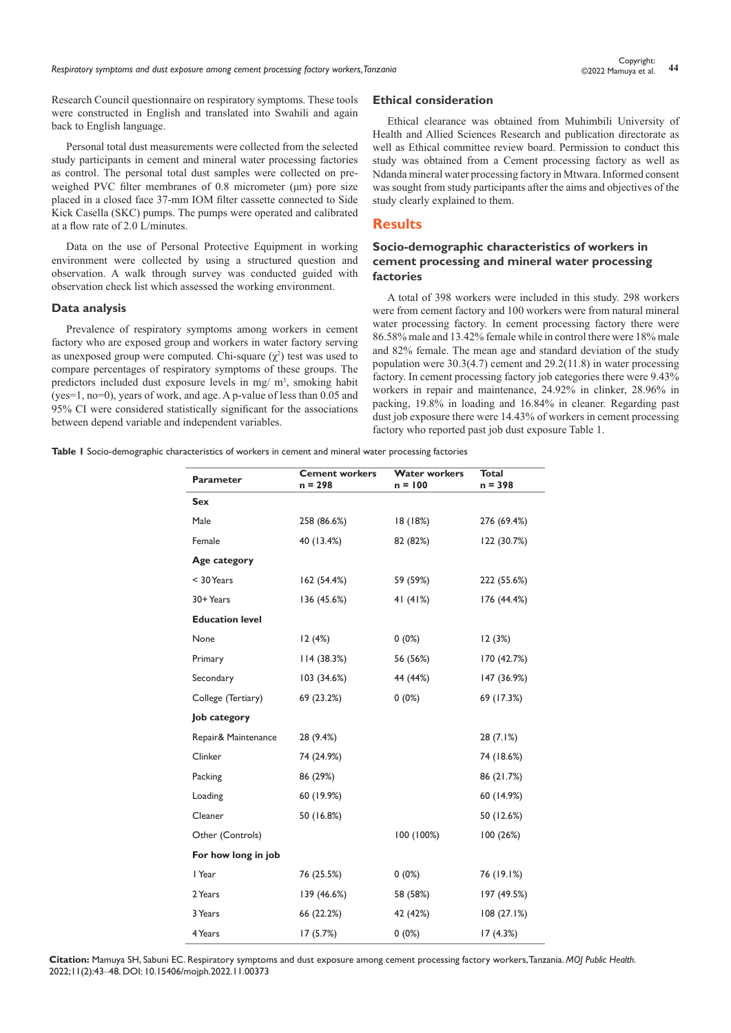*Respiratory symptoms and dust exposure among cement processing factory workers, Tanzania* **<sup>44</sup>** Copyright:

Research Council questionnaire on respiratory symptoms. These tools were constructed in English and translated into Swahili and again back to English language.

Personal total dust measurements were collected from the selected study participants in cement and mineral water processing factories as control. The personal total dust samples were collected on preweighed PVC filter membranes of 0.8 micrometer (μm) pore size placed in a closed face 37-mm IOM filter cassette connected to Side Kick Casella (SKC) pumps. The pumps were operated and calibrated at a flow rate of 2.0 L/minutes.

Data on the use of Personal Protective Equipment in working environment were collected by using a structured question and observation. A walk through survey was conducted guided with observation check list which assessed the working environment.

#### **Data analysis**

Prevalence of respiratory symptoms among workers in cement factory who are exposed group and workers in water factory serving as unexposed group were computed. Chi-square  $(\chi^2)$  test was used to compare percentages of respiratory symptoms of these groups. The predictors included dust exposure levels in mg/ m<sup>3</sup>, smoking habit (yes=1, no=0), years of work, and age. A p-value of less than 0.05 and 95% CI were considered statistically significant for the associations between depend variable and independent variables.

### **Ethical consideration**

Ethical clearance was obtained from Muhimbili University of Health and Allied Sciences Research and publication directorate as well as Ethical committee review board. Permission to conduct this study was obtained from a Cement processing factory as well as Ndanda mineral water processing factory in Mtwara. Informed consent was sought from study participants after the aims and objectives of the study clearly explained to them.

## **Results**

## **Socio-demographic characteristics of workers in cement processing and mineral water processing factories**

A total of 398 workers were included in this study. 298 workers were from cement factory and 100 workers were from natural mineral water processing factory. In cement processing factory there were 86.58% male and 13.42% female while in control there were 18% male and 82% female. The mean age and standard deviation of the study population were 30.3(4.7) cement and 29.2(11.8) in water processing factory. In cement processing factory job categories there were 9.43% workers in repair and maintenance, 24.92% in clinker, 28.96% in packing, 19.8% in loading and 16.84% in cleaner. Regarding past dust job exposure there were 14.43% of workers in cement processing factory who reported past job dust exposure Table 1.

**Table 1** Socio-demographic characteristics of workers in cement and mineral water processing factories

| Parameter              | <b>Cement workers</b><br>$n = 298$ | <b>Water workers</b><br>$n = 100$ | <b>Total</b><br>$n = 398$ |  |
|------------------------|------------------------------------|-----------------------------------|---------------------------|--|
| <b>Sex</b>             |                                    |                                   |                           |  |
| Male                   | 258 (86.6%)                        | 18 (18%)                          | 276 (69.4%)               |  |
| Female                 | 40 (13.4%)                         | 82 (82%)                          | 122 (30.7%)               |  |
| Age category           |                                    |                                   |                           |  |
| < 30 Years             | 162(54.4%)                         | 59 (59%)                          | 222 (55.6%)               |  |
| 30+ Years              | 136 (45.6%)                        | 41 $(41%)$                        | 176 (44.4%)               |  |
| <b>Education level</b> |                                    |                                   |                           |  |
| None                   | 12(4%)                             | $0(0\%)$                          | 12(3%)                    |  |
| Primary                | 114(38.3%)                         | 56 (56%)                          | 170 (42.7%)               |  |
| Secondary              | 103 (34.6%)                        | 44 (44%)                          | 147 (36.9%)               |  |
| College (Tertiary)     | 69 (23.2%)                         | $0(0\%)$                          | 69 (17.3%)                |  |
| Job category           |                                    |                                   |                           |  |
| Repair& Maintenance    | 28 (9.4%)                          |                                   | 28(7.1%)                  |  |
| Clinker                | 74 (24.9%)                         |                                   | 74 (18.6%)                |  |
| Packing                | 86 (29%)                           |                                   | 86 (21.7%)                |  |
| Loading                | 60 (19.9%)                         |                                   | 60 (14.9%)                |  |
| Cleaner                | 50 (16.8%)                         |                                   | 50 (12.6%)                |  |
| Other (Controls)       |                                    | 100 (100%)                        | 100(26%)                  |  |
| For how long in job    |                                    |                                   |                           |  |
| I Year                 | 76 (25.5%)                         | $0(0\%)$                          | 76 (19.1%)                |  |
| 2 Years                | 139 (46.6%)                        | 58 (58%)                          | 197 (49.5%)               |  |
| 3 Years                | 66 (22.2%)                         | 42 (42%)                          | 108(27.1%)                |  |
| 4 Years                | 17(5.7%)                           | $0(0\%)$                          | 17(4.3%)                  |  |

**Citation:** Mamuya SH, Sabuni EC. Respiratory symptoms and dust exposure among cement processing factory workers, Tanzania. *MOJ Public Health.* 2022;11(2):43‒48. DOI: [10.15406/mojph.2022.11.00373](https://doi.org/10.15406/mojph.2022.11.00373)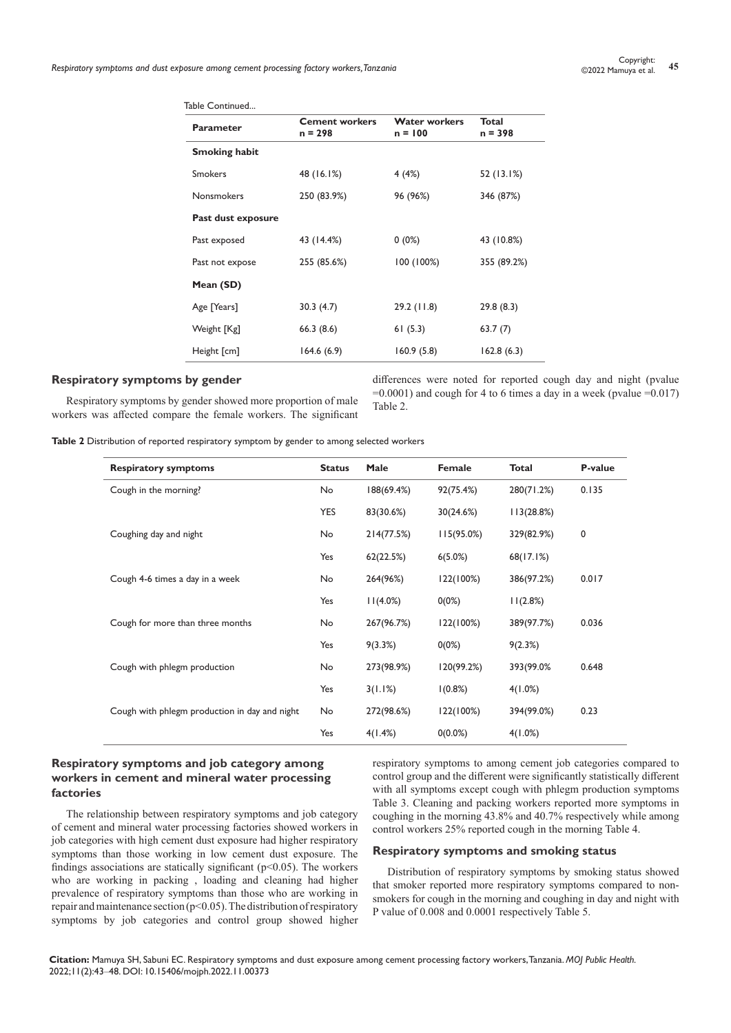*Respiratory symptoms and dust exposure among cement processing factory workers, Tanzania* **<sup>45</sup>** Copyright:

| Table Continued      |                                    |                                   |                    |
|----------------------|------------------------------------|-----------------------------------|--------------------|
| Parameter            | <b>Cement workers</b><br>$n = 298$ | <b>Water workers</b><br>$n = 100$ | Total<br>$n = 398$ |
| <b>Smoking habit</b> |                                    |                                   |                    |
| <b>Smokers</b>       | 48 (16.1%)                         | 4(4%)                             | 52 (13.1%)         |
| <b>Nonsmokers</b>    | 250 (83.9%)                        | 96 (96%)                          | 346 (87%)          |
| Past dust exposure   |                                    |                                   |                    |
| Past exposed         | 43 (14.4%)                         | $0(0\%)$                          | 43 (10.8%)         |
| Past not expose      | 255 (85.6%)                        | 100 (100%)                        | 355 (89.2%)        |
| Mean (SD)            |                                    |                                   |                    |
| Age [Years]          | 30.3(4.7)                          | 29.2(11.8)                        | 29.8(8.3)          |
| Weight [Kg]          | 66.3(8.6)                          | 61(5.3)                           | 63.7(7)            |
| Height [cm]          | 164.6(6.9)                         | 160.9(5.8)                        | 162.8(6.3)         |
|                      |                                    |                                   |                    |

#### **Respiratory symptoms by gender**

Respiratory symptoms by gender showed more proportion of male workers was affected compare the female workers. The significant differences were noted for reported cough day and night (pvalue  $=0.0001$ ) and cough for 4 to 6 times a day in a week (pvalue  $=0.017$ ) Table 2.

**Table 2** Distribution of reported respiratory symptom by gender to among selected workers

| <b>Respiratory symptoms</b>                   | <b>Status</b> | Male       | Female     | <b>Total</b> | P-value |
|-----------------------------------------------|---------------|------------|------------|--------------|---------|
| Cough in the morning?                         | No            | 188(69.4%) | 92(75.4%)  | 280(71.2%)   | 0.135   |
|                                               | <b>YES</b>    | 83(30.6%)  | 30(24.6%)  | 113(28.8%)   |         |
| Coughing day and night                        | No            | 214(77.5%) | 115(95.0%) | 329(82.9%)   | 0       |
|                                               | Yes           | 62(22.5%)  | $6(5.0\%)$ | 68(17.1%)    |         |
| Cough 4-6 times a day in a week               | No            | 264(96%)   | 122(100%)  | 386(97.2%)   | 0.017   |
|                                               | Yes           | 11(4.0%)   | 0(0%)      | 11(2.8%)     |         |
| Cough for more than three months              | No            | 267(96.7%) | 122(100%)  | 389(97.7%)   | 0.036   |
|                                               | Yes           | 9(3.3%)    | $0(0\%)$   | 9(2.3%)      |         |
| Cough with phlegm production                  | No            | 273(98.9%) | 120(99.2%) | 393(99.0%    | 0.648   |
|                                               | Yes           | 3(1.1%)    | 1(0.8%)    | 4(1.0%)      |         |
| Cough with phlegm production in day and night | No            | 272(98.6%) | 122(100%)  | 394(99.0%)   | 0.23    |
|                                               | Yes           | 4(1.4%)    | $0(0.0\%)$ | 4(1.0%)      |         |

#### **Respiratory symptoms and job category among workers in cement and mineral water processing factories**

The relationship between respiratory symptoms and job category of cement and mineral water processing factories showed workers in job categories with high cement dust exposure had higher respiratory symptoms than those working in low cement dust exposure. The findings associations are statically significant ( $p$ <0.05). The workers who are working in packing , loading and cleaning had higher prevalence of respiratory symptoms than those who are working in repair and maintenance section (p<0.05). The distribution of respiratory symptoms by job categories and control group showed higher

respiratory symptoms to among cement job categories compared to control group and the different were significantly statistically different with all symptoms except cough with phlegm production symptoms Table 3. Cleaning and packing workers reported more symptoms in coughing in the morning 43.8% and 40.7% respectively while among control workers 25% reported cough in the morning Table 4.

## **Respiratory symptoms and smoking status**

Distribution of respiratory symptoms by smoking status showed that smoker reported more respiratory symptoms compared to nonsmokers for cough in the morning and coughing in day and night with P value of 0.008 and 0.0001 respectively Table 5.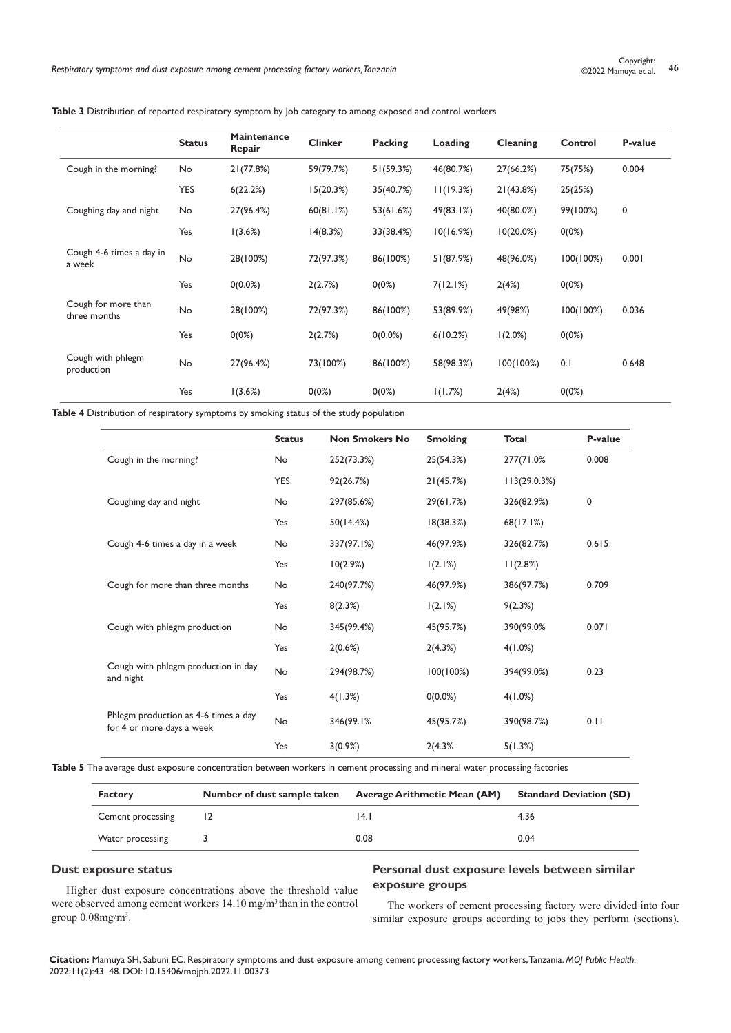#### **Table 3** Distribution of reported respiratory symptom by Job category to among exposed and control workers

|                                     | <b>Status</b> | Maintenance<br>Repair | <b>Clinker</b> | <b>Packing</b> | Loading   | Cleaning     | Control   | P-value |
|-------------------------------------|---------------|-----------------------|----------------|----------------|-----------|--------------|-----------|---------|
| Cough in the morning?               | No            | 21(77.8%)             | 59(79.7%)      | 51(59.3%)      | 46(80.7%) | 27(66.2%)    | 75(75%)   | 0.004   |
|                                     | <b>YES</b>    | 6(22.2%)              | 15(20.3%)      | 35(40.7%)      | 11(19.3%) | 21(43.8%)    | 25(25%)   |         |
| Coughing day and night              | No            | 27(96.4%)             | 60(81.1%)      | 53(61.6%)      | 49(83.1%) | 40(80.0%)    | 99(100%)  | 0       |
|                                     | Yes           | 1(3.6%)               | 14(8.3%)       | 33(38.4%)      | 10(16.9%) | $10(20.0\%)$ | 0(0%)     |         |
| Cough 4-6 times a day in<br>a week  | No            | 28(100%)              | 72(97.3%)      | 86(100%)       | 51(87.9%) | 48(96.0%)    | 100(100%) | 0.001   |
|                                     | Yes           | $0(0.0\%)$            | 2(2.7%)        | $0(0\%)$       | 7(12.1%)  | 2(4%)        | 0(0%)     |         |
| Cough for more than<br>three months | No            | 28(100%)              | 72(97.3%)      | 86(100%)       | 53(89.9%) | 49(98%)      | 100(100%) | 0.036   |
|                                     | Yes           | 0(0%)                 | 2(2.7%)        | $0(0.0\%)$     | 6(10.2%)  | 1(2.0%)      | 0(0%)     |         |
| Cough with phlegm<br>production     | No            | 27(96.4%)             | 73(100%)       | 86(100%)       | 58(98.3%) | 100(100%)    | 0.1       | 0.648   |
|                                     | Yes           | 1(3.6%)               | $0(0\%)$       | $0(0\%)$       | 1(1.7%)   | 2(4%)        | $0(0\%)$  |         |

**Table 4** Distribution of respiratory symptoms by smoking status of the study population

|                                                                   | <b>Status</b> | <b>Non Smokers No</b> | <b>Smoking</b> | <b>Total</b> | P-value     |
|-------------------------------------------------------------------|---------------|-----------------------|----------------|--------------|-------------|
| Cough in the morning?                                             | <b>No</b>     | 252(73.3%)            | 25(54.3%)      | 277(71.0%)   | 0.008       |
|                                                                   | <b>YES</b>    | 92(26.7%)             | 21(45.7%)      | 113(29.0.3%) |             |
| Coughing day and night                                            | <b>No</b>     | 297(85.6%)            | 29(61.7%)      | 326(82.9%)   | $\mathbf 0$ |
|                                                                   | Yes           | 50(14.4%)             | 18(38.3%)      | 68(17.1%)    |             |
| Cough 4-6 times a day in a week                                   | No            | 337(97.1%)            | 46(97.9%)      | 326(82.7%)   | 0.615       |
|                                                                   | Yes           | 10(2.9%)              | 1(2.1%)        | 11(2.8%)     |             |
| Cough for more than three months                                  | <b>No</b>     | 240(97.7%)            | 46(97.9%)      | 386(97.7%)   | 0.709       |
|                                                                   | Yes           | 8(2.3%)               | 1(2.1%)        | 9(2.3%)      |             |
| Cough with phlegm production                                      | No            | 345(99.4%)            | 45(95.7%)      | 390(99.0%    | 0.071       |
|                                                                   | Yes           | 2(0.6%)               | 2(4.3%)        | 4(1.0%)      |             |
| Cough with phlegm production in day<br>and night                  | No            | 294(98.7%)            | 100(100%)      | 394(99.0%)   | 0.23        |
|                                                                   | Yes           | 4(1.3%)               | $0(0.0\%)$     | 4(1.0%)      |             |
| Phlegm production as 4-6 times a day<br>for 4 or more days a week | <b>No</b>     | 346(99.1%             | 45(95.7%)      | 390(98.7%)   | 0.11        |
|                                                                   | Yes           | 3(0.9%)               | 2(4.3%         | 5(1.3%)      |             |

**Table 5** The average dust exposure concentration between workers in cement processing and mineral water processing factories

| <b>Factory</b>    | Number of dust sample taken | Average Arithmetic Mean (AM) | <b>Standard Deviation (SD)</b> |
|-------------------|-----------------------------|------------------------------|--------------------------------|
| Cement processing |                             | 14. I                        | 4.36                           |
| Water processing  |                             | 0.08                         | 0.04                           |

#### **Dust exposure status**

Higher dust exposure concentrations above the threshold value were observed among cement workers 14.10 mg/m<sup>3</sup> than in the control group  $0.08$ mg/m<sup>3</sup>.

## **Personal dust exposure levels between similar exposure groups**

The workers of cement processing factory were divided into four similar exposure groups according to jobs they perform (sections).

**Citation:** Mamuya SH, Sabuni EC. Respiratory symptoms and dust exposure among cement processing factory workers, Tanzania. *MOJ Public Health.* 2022;11(2):43‒48. DOI: [10.15406/mojph.2022.11.00373](https://doi.org/10.15406/mojph.2022.11.00373)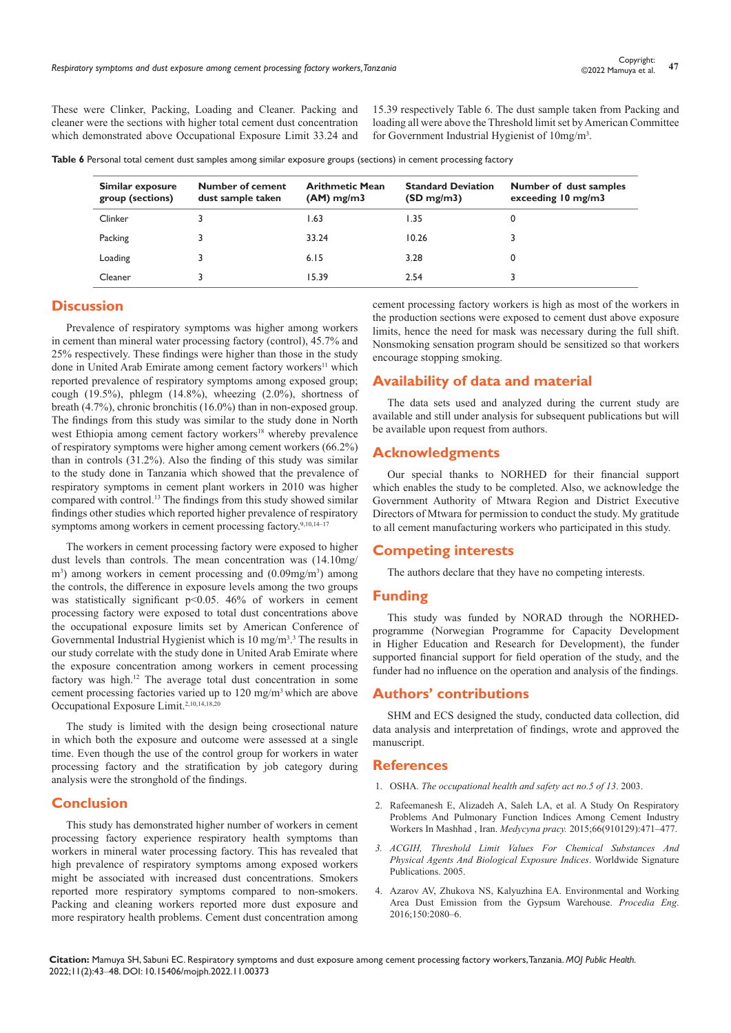These were Clinker, Packing, Loading and Cleaner. Packing and cleaner were the sections with higher total cement dust concentration which demonstrated above Occupational Exposure Limit 33.24 and

15.39 respectively Table 6. The dust sample taken from Packing and loading all were above the Threshold limit set by American Committee for Government Industrial Hygienist of 10mg/m<sup>3</sup>.

**Table 6** Personal total cement dust samples among similar exposure groups (sections) in cement processing factory

| Similar exposure<br>group (sections) | Number of cement<br>dust sample taken | <b>Arithmetic Mean</b><br>$(AM)$ mg/m3 | <b>Standard Deviation</b><br>(SD mg/m3) | Number of dust samples<br>exceeding $10 \text{ mg/m}$ |
|--------------------------------------|---------------------------------------|----------------------------------------|-----------------------------------------|-------------------------------------------------------|
| Clinker                              |                                       | 1.63                                   | 1.35                                    |                                                       |
| Packing                              |                                       | 33.24                                  | 10.26                                   |                                                       |
| Loading                              |                                       | 6.15                                   | 3.28                                    | 0                                                     |
| Cleaner                              |                                       | 15.39                                  | 2.54                                    |                                                       |

# **Discussion**

Prevalence of respiratory symptoms was higher among workers in cement than mineral water processing factory (control), 45.7% and 25% respectively. These findings were higher than those in the study done in United Arab Emirate among cement factory workers<sup>11</sup> which reported prevalence of respiratory symptoms among exposed group; cough (19.5%), phlegm (14.8%), wheezing (2.0%), shortness of breath (4.7%), chronic bronchitis (16.0%) than in non-exposed group. The findings from this study was similar to the study done in North west Ethiopia among cement factory workers<sup>18</sup> whereby prevalence of respiratory symptoms were higher among cement workers (66.2%) than in controls (31.2%). Also the finding of this study was similar to the study done in Tanzania which showed that the prevalence of respiratory symptoms in cement plant workers in 2010 was higher compared with control.13 The findings from this study showed similar findings other studies which reported higher prevalence of respiratory symptoms among workers in cement processing factory.<sup>9,10,14–17</sup>

The workers in cement processing factory were exposed to higher dust levels than controls. The mean concentration was (14.10mg/ m<sup>3</sup>) among workers in cement processing and (0.09mg/m<sup>3</sup>) among the controls, the difference in exposure levels among the two groups was statistically significant p<0.05. 46% of workers in cement processing factory were exposed to total dust concentrations above the occupational exposure limits set by American Conference of Governmental Industrial Hygienist which is  $10 \text{ mg/m}^3$ .<sup>3</sup> The results in our study correlate with the study done in United Arab Emirate where the exposure concentration among workers in cement processing factory was high.<sup>12</sup> The average total dust concentration in some cement processing factories varied up to 120 mg/m3 which are above Occupational Exposure Limit.<sup>2,10,14,18,20</sup>

The study is limited with the design being crosectional nature in which both the exposure and outcome were assessed at a single time. Even though the use of the control group for workers in water processing factory and the stratification by job category during analysis were the stronghold of the findings.

# **Conclusion**

This study has demonstrated higher number of workers in cement processing factory experience respiratory health symptoms than workers in mineral water processing factory. This has revealed that high prevalence of respiratory symptoms among exposed workers might be associated with increased dust concentrations. Smokers reported more respiratory symptoms compared to non-smokers. Packing and cleaning workers reported more dust exposure and more respiratory health problems. Cement dust concentration among

cement processing factory workers is high as most of the workers in the production sections were exposed to cement dust above exposure limits, hence the need for mask was necessary during the full shift. Nonsmoking sensation program should be sensitized so that workers encourage stopping smoking.

## **Availability of data and material**

The data sets used and analyzed during the current study are available and still under analysis for subsequent publications but will be available upon request from authors.

#### **Acknowledgments**

Our special thanks to NORHED for their financial support which enables the study to be completed. Also, we acknowledge the Government Authority of Mtwara Region and District Executive Directors of Mtwara for permission to conduct the study. My gratitude to all cement manufacturing workers who participated in this study.

## **Competing interests**

The authors declare that they have no competing interests.

#### **Funding**

This study was funded by NORAD through the NORHEDprogramme (Norwegian Programme for Capacity Development in Higher Education and Research for Development), the funder supported financial support for field operation of the study, and the funder had no influence on the operation and analysis of the findings.

## **Authors' contributions**

SHM and ECS designed the study, conducted data collection, did data analysis and interpretation of findings, wrote and approved the manuscript.

#### **References**

- 1. OSHA. *The occupational health and safety act no.5 of 13*. 2003.
- 2. [Rafeemanesh E, Alizadeh A, Saleh LA, et al. A Study On Respiratory](https://pubmed.ncbi.nlm.nih.gov/26536964/)  [Problems And Pulmonary Function Indices Among Cement Industry](https://pubmed.ncbi.nlm.nih.gov/26536964/)  [Workers In Mashhad , Iran.](https://pubmed.ncbi.nlm.nih.gov/26536964/) *Medycyna pracy.* 2015;66(910129):471–477.
- *3. [ACGIH, Threshold Limit Values For Chemical Substances And](https://www.acgih.org/science/tlv-bei-guidelines/)  [Physical Agents And Biological Exposure Indices](https://www.acgih.org/science/tlv-bei-guidelines/)*. Worldwide Signature [Publications. 2005.](https://www.acgih.org/science/tlv-bei-guidelines/)
- 4. [Azarov AV, Zhukova NS, Kalyuzhina EA. Environmental and Working](https://www.sciencedirect.com/science/article/pii/S1877705816315594?via%3Dihub)  [Area Dust Emission from the Gypsum Warehouse.](https://www.sciencedirect.com/science/article/pii/S1877705816315594?via%3Dihub) *Procedia Eng*. [2016;150:2080–6.](https://www.sciencedirect.com/science/article/pii/S1877705816315594?via%3Dihub)